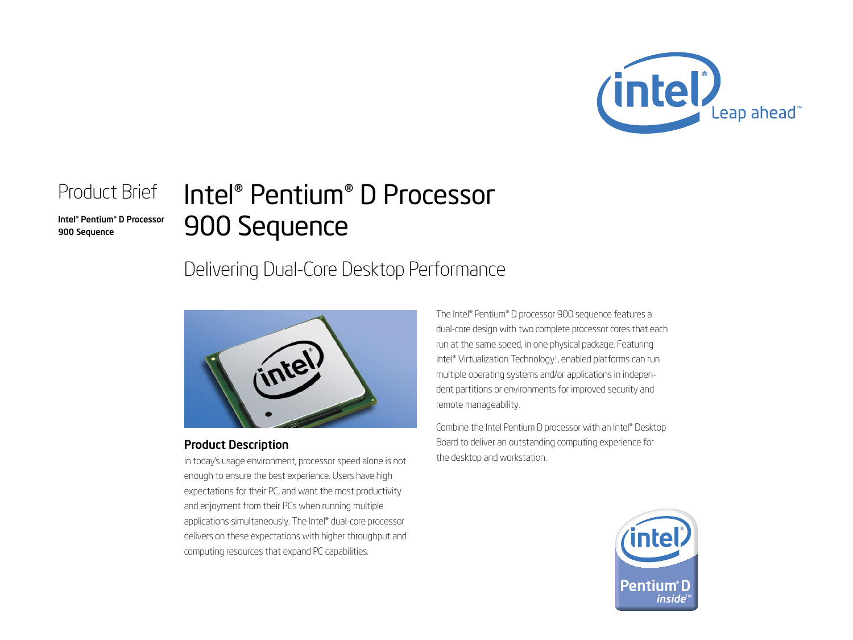

### Product Brief

Intel® Pentium® D Processor 900 Sequence

# Intel® Pentium® D Processor 900 Sequence

## Delivering Dual-Core Desktop Performance



#### Product Description

In today's usage environment, processor speed alone is not enough to ensure the best experience. Users have high expectations for their PC, and want the most productivity and enjoyment from their PCs when running multiple applications simultaneously. The Intel® dual-core processor delivers on these expectations with higher throughput and computing resources that expand PC capabilities.

The Intel® Pentium® D processor 900 sequence features a dual-core design with two complete processor cores that each run at the same speed, in one physical package. Featuring Intel® Virtualization Technology<sup>1</sup>, enabled platforms can run multiple operating systems and/or applications in independent partitions or environments for improved security and remote manageability.

Combine the Intel Pentium D processor with an Intel® Desktop Board to deliver an outstanding computing experience for the desktop and workstation.